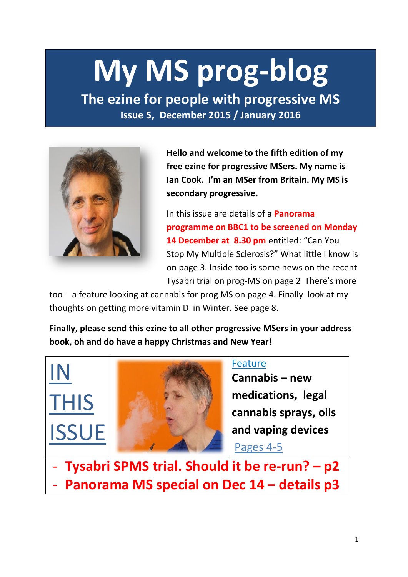# **My MS prog-blog**

**The ezine for people with progressive MS Issue 5, December 2015 / January 2016**



IN

THIS

**ISSU** 

**Hello and welcome to the fifth edition of my free ezine for progressive MSers. My name is Ian Cook. I'm an MSer from Britain. My MS is secondary progressive.** 

In this issue are details of a **Panorama programme on BBC1 to be screened on Monday**  14 December at 8.30 pm entitled: "Can You Stop My Multiple Sclerosis?" What little I know is on page 3. Inside too is some news on the recent Tysabri trial on prog-MS on page 2 There's more

too - a feature looking at cannabis for prog MS on page 4. Finally look at my thoughts on getting more vitamin D in Winter. See page 8.

**Finally, please send this ezine to all other progressive MSers in your address book, oh and do have a happy Christmas and New Year!**

Feature

**Cannabis – new medications, legal cannabis sprays, oils and vaping devices**  Pages 4-5

- **Tysabri SPMS trial. Should it be re-run? – p2** - **Panorama MS special on Dec 14 – details p3**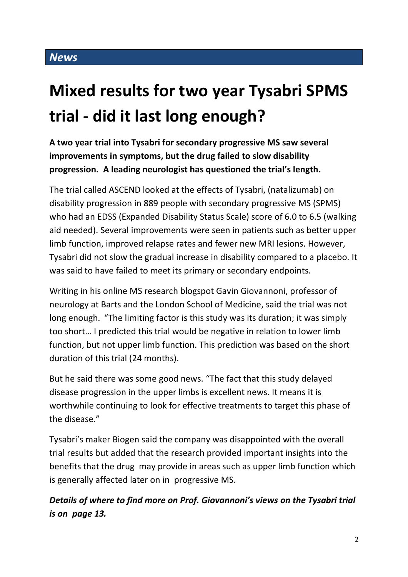## **Mixed results for two year Tysabri SPMS trial - did it last long enough?**

**A two year trial into Tysabri for secondary progressive MS saw several improvements in symptoms, but the drug failed to slow disability progression. A leading neurologist has questioned the trial's length.**

The trial called ASCEND looked at the effects of Tysabri, (natalizumab) on disability progression in 889 people with secondary progressive MS (SPMS) who had an EDSS (Expanded Disability Status Scale) score of 6.0 to 6.5 (walking aid needed). Several improvements were seen in patients such as better upper limb function, improved relapse rates and fewer new MRI lesions. However, Tysabri did not slow the gradual increase in disability compared to a placebo. It was said to have failed to meet its primary or secondary endpoints.

Writing in his online MS research blogspot Gavin Giovannoni, professor of neurology at Barts and the London School of Medicine, said the trial was not long enough. "The limiting factor is this study was its duration; it was simply too short… I predicted this trial would be negative in relation to lower limb function, but not upper limb function. This prediction was based on the short duration of this trial (24 months).

But he said there was some good news. "The fact that this study delayed disease progression in the upper limbs is excellent news. It means it is worthwhile continuing to look for effective treatments to target this phase of the disease."

Tysabri's maker Biogen said the company was disappointed with the overall trial results but added that the research provided important insights into the benefits that the drug may provide in areas such as upper limb function which is generally affected later on in progressive MS.

*Details of where to find more on Prof. Giovannoni's views on the Tysabri trial is on page 13.*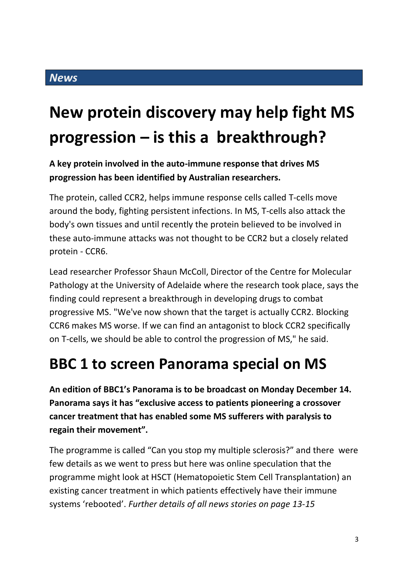### **New protein discovery may help fight MS progression – is this a breakthrough?**

### **A key protein involved in the auto-immune response that drives MS progression has been identified by Australian researchers.**

The protein, called CCR2, helps immune response cells called T-cells move around the body, fighting persistent infections. In MS, T-cells also attack the body's own tissues and until recently the protein believed to be involved in these auto-immune attacks was not thought to be CCR2 but a closely related protein - CCR6.

Lead researcher Professor Shaun McColl, Director of the Centre for Molecular Pathology at the University of Adelaide where the research took place, says the finding could represent a breakthrough in developing drugs to combat progressive MS. "We've now shown that the target is actually CCR2. Blocking CCR6 makes MS worse. If we can find an antagonist to block CCR2 specifically on T-cells, we should be able to control the progression of MS," he said.

### **BBC 1 to screen Panorama special on MS**

**An edition of BBC1's Panorama is to be broadcast on Monday December 14. Panorama says it has "exclusive access to patients pioneering a crossover cancer treatment that has enabled some MS sufferers with paralysis to regain their movement".**

The programme is called "Can you stop my multiple sclerosis?" and there were few details as we went to press but here was online speculation that the programme might look at HSCT (Hematopoietic Stem Cell Transplantation) an existing cancer treatment in which patients effectively have their immune systems 'rebooted'. *Further details of all news stories on page 13-15*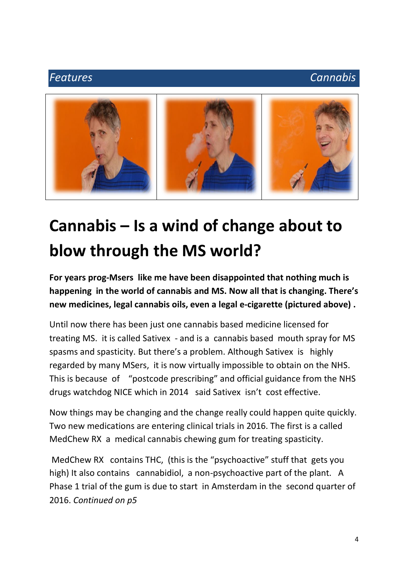### *Features Cannabis*



### **Cannabis – Is a wind of change about to blow through the MS world?**

**For years prog-Msers like me have been disappointed that nothing much is happening in the world of cannabis and MS. Now all that is changing. There's new medicines, legal cannabis oils, even a legal e-cigarette (pictured above) .**

Until now there has been just one cannabis based medicine licensed for treating MS. it is called Sativex - and is a cannabis based mouth spray for MS spasms and spasticity. But there's a problem. Although Sativex is highly regarded by many MSers, it is now virtually impossible to obtain on the NHS. This is because of "postcode prescribing" and official guidance from the NHS drugs watchdog NICE which in 2014 said Sativex isn't cost effective.

Now things may be changing and the change really could happen quite quickly. Two new medications are entering clinical trials in 2016. The first is a called MedChew RX a medical cannabis chewing gum for treating spasticity.

MedChew RX contains THC, (this is the "psychoactive" stuff that gets you high) It also contains cannabidiol, a non-psychoactive part of the plant. A Phase 1 trial of the gum is due to start in Amsterdam in the second quarter of 2016. *Continued on p5*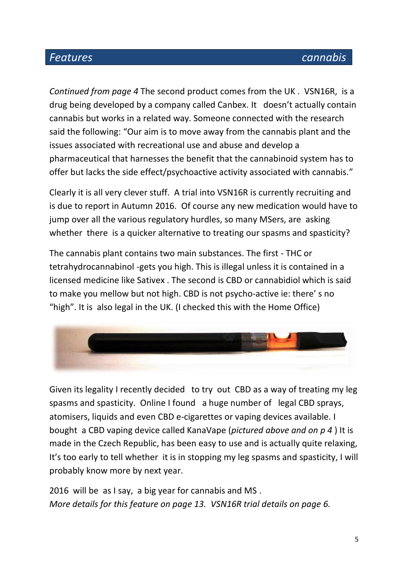### *Features cannabis*

*Continued from page 4* The second product comes from the UK . VSN16R, is a drug being developed by a company called Canbex. It doesn't actually contain cannabis but works in a related way. Someone connected with the research said the following: "Our aim is to move away from the cannabis plant and the issues associated with recreational use and abuse and develop a pharmaceutical that harnesses the benefit that the cannabinoid system has to offer but lacks the side effect/psychoactive activity associated with cannabis."

Clearly it is all very clever stuff. A trial into VSN16R is currently recruiting and is due to report in Autumn 2016. Of course any new medication would have to jump over all the various regulatory hurdles, so many MSers, are asking whether there is a quicker alternative to treating our spasms and spasticity?

The cannabis plant contains two main substances. The first - THC or tetrahydrocannabinol -gets you high. This is illegal unless it is contained in a licensed medicine like Sativex . The second is CBD or cannabidiol which is said to make you mellow but not high. CBD is not psycho-active ie: there' s no "high". It is also legal in the UK. (I checked this with the Home Office)



Given its legality I recently decided to try out CBD as a way of treating my leg spasms and spasticity. Online I found a huge number of legal CBD sprays, atomisers, liquids and even CBD e-cigarettes or vaping devices available. I bought a CBD vaping device called KanaVape (*pictured above and on p 4* ) It is made in the Czech Republic, has been easy to use and is actually quite relaxing, It's too early to tell whether it is in stopping my leg spasms and spasticity, I will probably know more by next year.

2016 will be as I say, a big year for cannabis and MS . *More details for this feature on page 13. VSN16R trial details on page 6.*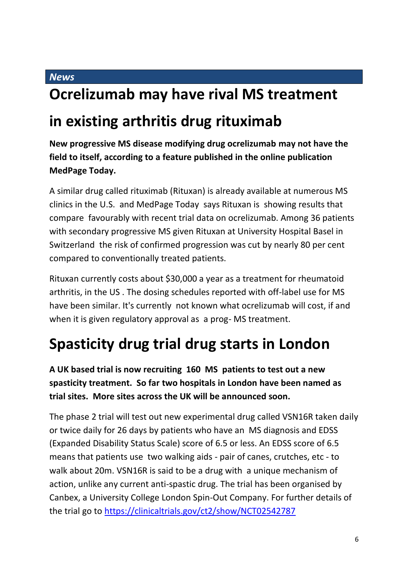#### *News*

### **Ocrelizumab may have rival MS treatment**

### **in existing arthritis drug rituximab**

**New progressive MS disease modifying drug ocrelizumab may not have the field to itself, according to a feature published in the online publication MedPage Today.** 

A similar drug called rituximab (Rituxan) is already available at numerous MS clinics in the U.S. and MedPage Today says Rituxan is showing results that compare favourably with recent trial data on ocrelizumab. Among 36 patients with secondary progressive MS given Rituxan at University Hospital Basel in Switzerland the risk of confirmed progression was cut by nearly 80 per cent compared to conventionally treated patients.

Rituxan currently costs about \$30,000 a year as a treatment for rheumatoid arthritis, in the US . The dosing schedules reported with off-label use for MS have been similar. It's currently not known what ocrelizumab will cost, if and when it is given regulatory approval as a prog- MS treatment.

### **Spasticity drug trial drug starts in London**

**A UK based trial is now recruiting 160 MS patients to test out a new spasticity treatment. So far two hospitals in London have been named as trial sites. More sites across the UK will be announced soon.**

The phase 2 trial will test out new experimental drug called VSN16R taken daily or twice daily for 26 days by patients who have an MS diagnosis and EDSS (Expanded Disability Status Scale) score of 6.5 or less. An EDSS score of 6.5 means that patients use two walking aids - pair of canes, crutches, etc - to walk about 20m. VSN16R is said to be a drug with a unique mechanism of action, unlike any current anti-spastic drug. The trial has been organised by Canbex, a University College London Spin-Out Company. For further details of the trial go to<https://clinicaltrials.gov/ct2/show/NCT02542787>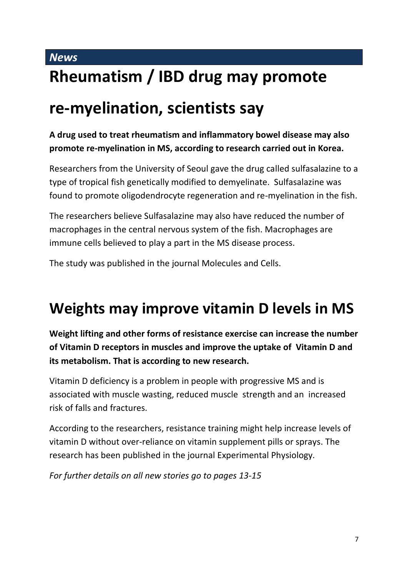### *News* **Rheumatism / IBD drug may promote**

### **re-myelination, scientists say**

**A drug used to treat rheumatism and inflammatory bowel disease may also promote re-myelination in MS, according to research carried out in Korea.**

Researchers from the University of Seoul gave the drug called sulfasalazine to a type of tropical fish genetically modified to demyelinate. Sulfasalazine was found to promote oligodendrocyte regeneration and re-myelination in the fish.

The researchers believe Sulfasalazine may also have reduced the number of macrophages in the central nervous system of the fish. Macrophages are immune cells believed to play a part in the MS disease process.

The study was published in the journal Molecules and Cells.

### **Weights may improve vitamin D levels in MS**

**Weight lifting and other forms of resistance exercise can increase the number of Vitamin D receptors in muscles and improve the uptake of Vitamin D and its metabolism. That is according to new research.**

Vitamin D deficiency is a problem in people with progressive MS and is associated with muscle wasting, reduced muscle strength and an increased risk of falls and fractures.

According to the researchers, resistance training might help increase levels of vitamin D without over-reliance on vitamin supplement pills or sprays. The research has been published in the journal Experimental Physiology.

*For further details on all new stories go to pages 13-15*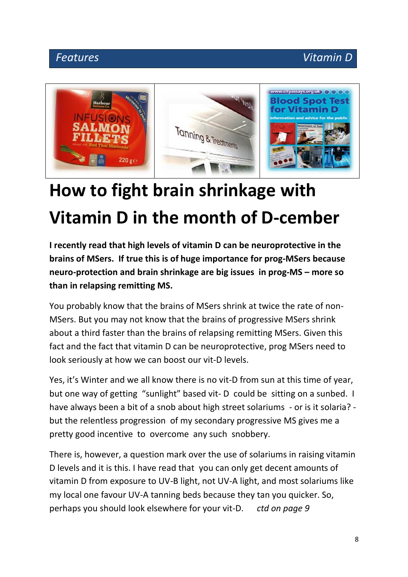### *Features Vitamin D*



## **How to fight brain shrinkage with Vitamin D in the month of D-cember**

**I recently read that high levels of vitamin D can be neuroprotective in the brains of MSers. If true this is of huge importance for prog-MSers because neuro-protection and brain shrinkage are big issues in prog-MS – more so than in relapsing remitting MS.**

You probably know that the brains of MSers shrink at twice the rate of non-MSers. But you may not know that the brains of progressive MSers shrink about a third faster than the brains of relapsing remitting MSers. Given this fact and the fact that vitamin D can be neuroprotective, prog MSers need to look seriously at how we can boost our vit-D levels.

Yes, it's Winter and we all know there is no vit-D from sun at this time of year, but one way of getting "sunlight" based vit- D could be sitting on a sunbed. I have always been a bit of a snob about high street solariums - or is it solaria? but the relentless progression of my secondary progressive MS gives me a pretty good incentive to overcome any such snobbery.

There is, however, a question mark over the use of solariums in raising vitamin D levels and it is this. I have read that you can only get decent amounts of vitamin D from exposure to UV-B light, not UV-A light, and most solariums like my local one favour UV-A tanning beds because they tan you quicker. So, perhaps you should look elsewhere for your vit-D. *ctd on page 9*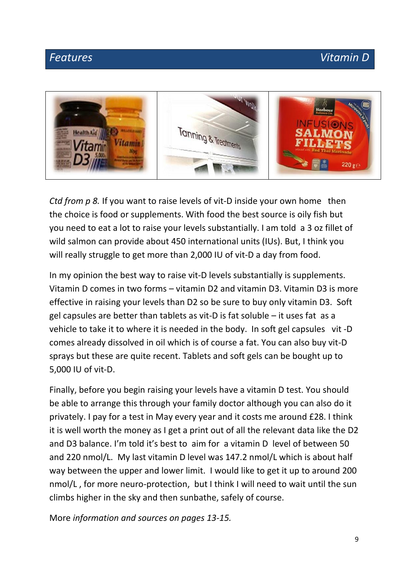### *Features* Vitamin D



*Ctd from p 8.* If you want to raise levels of vit-D inside your own home then the choice is food or supplements. With food the best source is oily fish but you need to eat a lot to raise your levels substantially. I am told a 3 oz fillet of wild salmon can provide about 450 international units (IUs). But, I think you will really struggle to get more than 2,000 IU of vit-D a day from food.

In my opinion the best way to raise vit-D levels substantially is supplements. Vitamin D comes in two forms – vitamin D2 and vitamin D3. Vitamin D3 is more effective in raising your levels than D2 so be sure to buy only vitamin D3. Soft gel capsules are better than tablets as vit-D is fat soluble – it uses fat as a vehicle to take it to where it is needed in the body. In soft gel capsules vit -D comes already dissolved in oil which is of course a fat. You can also buy vit-D sprays but these are quite recent. Tablets and soft gels can be bought up to 5,000 IU of vit-D.

Finally, before you begin raising your levels have a vitamin D test. You should be able to arrange this through your family doctor although you can also do it privately. I pay for a test in May every year and it costs me around £28. I think it is well worth the money as I get a print out of all the relevant data like the D2 and D3 balance. I'm told it's best to aim for a vitamin D level of between 50 and 220 nmol/L. My last vitamin D level was 147.2 nmol/L which is about half way between the upper and lower limit. I would like to get it up to around 200 nmol/L , for more neuro-protection, but I think I will need to wait until the sun climbs higher in the sky and then sunbathe, safely of course.

More *information and sources on pages 13-15.*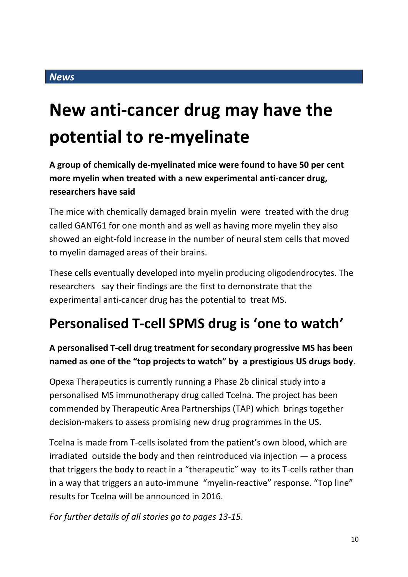## **New anti-cancer drug may have the potential to re-myelinate**

**A group of chemically de-myelinated mice were found to have 50 per cent more myelin when treated with a new experimental anti-cancer drug, researchers have said** 

The mice with chemically damaged brain myelin were treated with the drug called GANT61 for one month and as well as having more myelin they also showed an eight-fold increase in the number of neural stem cells that moved to myelin damaged areas of their brains.

These cells eventually developed into myelin producing oligodendrocytes. The researchers say their findings are the first to demonstrate that the experimental anti-cancer drug has the potential to treat MS.

### **Personalised T-cell SPMS drug is 'one to watch'**

### **A personalised T-cell drug treatment for secondary progressive MS has been named as one of the "top projects to watch" by a prestigious US drugs body**.

Opexa Therapeutics is currently running a Phase 2b clinical study into a personalised MS immunotherapy drug called Tcelna. The project has been commended by Therapeutic Area Partnerships (TAP) which brings together decision-makers to assess promising new drug programmes in the US.

Tcelna is made from T-cells isolated from the patient's own blood, which are irradiated outside the body and then reintroduced via injection  $-$  a process that triggers the body to react in a "therapeutic" way to its T-cells rather than in a way that triggers an auto-immune "myelin-reactive" response. "Top line" results for Tcelna will be announced in 2016.

*For further details of all stories go to pages 13-15*.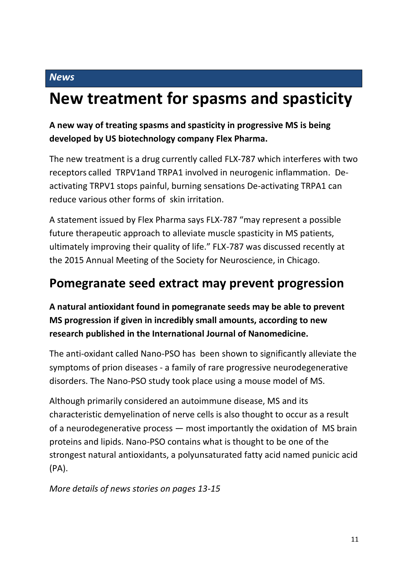#### *News*

### **New treatment for spasms and spasticity**

### **A new way of treating spasms and spasticity in progressive MS is being developed by US biotechnology company Flex Pharma.**

The new treatment is a drug currently called FLX-787 which interferes with two receptors called TRPV1and TRPA1 involved in neurogenic inflammation. Deactivating TRPV1 stops painful, burning sensations De-activating TRPA1 can reduce various other forms of skin irritation.

A statement issued by Flex Pharma says FLX-787 "may represent a possible future therapeutic approach to alleviate muscle spasticity in MS patients, ultimately improving their quality of life." FLX-787 was discussed recently at the 2015 Annual Meeting of the Society for Neuroscience, in Chicago.

### **Pomegranate seed extract may prevent progression**

**A natural antioxidant found in pomegranate seeds may be able to prevent MS progression if given in incredibly small amounts, according to new research published in the International Journal of Nanomedicine.**

The anti-oxidant called Nano-PSO has been shown to significantly alleviate the symptoms of prion diseases - a family of rare progressive neurodegenerative disorders. The Nano-PSO study took place using a mouse model of MS.

Although primarily considered an autoimmune disease, MS and its characteristic demyelination of nerve cells is also thought to occur as a result of a neurodegenerative process — most importantly the oxidation of MS brain proteins and lipids. Nano-PSO contains what is thought to be one of the strongest natural antioxidants, a polyunsaturated fatty acid named punicic acid (PA).

*More details of news stories on pages 13-15*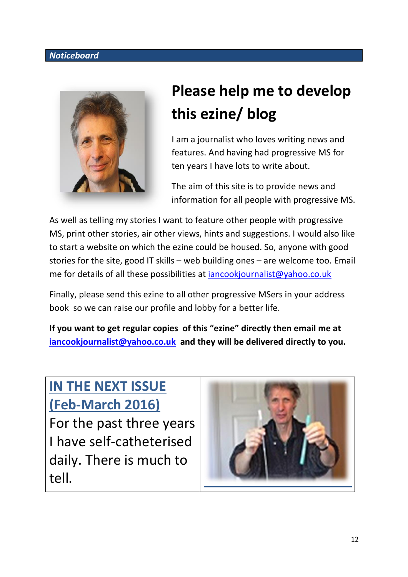#### *Noticeboard*



### **Please help me to develop this ezine/ blog**

I am a journalist who loves writing news and features. And having had progressive MS for ten years I have lots to write about.

The aim of this site is to provide news and information for all people with progressive MS.

As well as telling my stories I want to feature other people with progressive MS, print other stories, air other views, hints and suggestions. I would also like to start a website on which the ezine could be housed. So, anyone with good stories for the site, good IT skills – web building ones – are welcome too. Email me for details of all these possibilities at *iancookjournalist@yahoo.co.uk* 

Finally, please send this ezine to all other progressive MSers in your address book so we can raise our profile and lobby for a better life.

**If you want to get regular copies of this "ezine" directly then email me at [iancookjournalist@yahoo.co.uk](mailto:iancookjournalist@yahoo.co.uk) and they will be delivered directly to you.**

### **IN THE NEXT ISSUE (Feb-March 2016)**

For the past three years I have self-catheterised daily. There is much to tell.

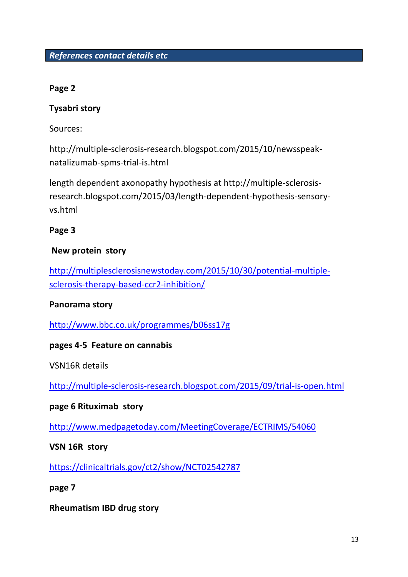#### **Page 2**

#### **Tysabri story**

Sources:

http://multiple-sclerosis-research.blogspot.com/2015/10/newsspeaknatalizumab-spms-trial-is.html

length dependent axonopathy hypothesis at http://multiple-sclerosisresearch.blogspot.com/2015/03/length-dependent-hypothesis-sensoryvs.html

#### **Page 3**

#### **New protein story**

[http://multiplesclerosisnewstoday.com/2015/10/30/potential-multiple](http://multiplesclerosisnewstoday.com/2015/10/30/potential-multiple-sclerosis-therapy-based-ccr2-inhibition/)[sclerosis-therapy-based-ccr2-inhibition/](http://multiplesclerosisnewstoday.com/2015/10/30/potential-multiple-sclerosis-therapy-based-ccr2-inhibition/)

#### **Panorama story**

**h**[ttp://www.bbc.co.uk/programmes/b06ss17g](http://www.bbc.co.uk/programmes/b06ss17g)

#### **pages 4-5 Feature on cannabis**

VSN16R details

<http://multiple-sclerosis-research.blogspot.com/2015/09/trial-is-open.html>

#### **page 6 Rituximab story**

<http://www.medpagetoday.com/MeetingCoverage/ECTRIMS/54060>

**VSN 16R story**

<https://clinicaltrials.gov/ct2/show/NCT02542787>

**page 7** 

**Rheumatism IBD drug story**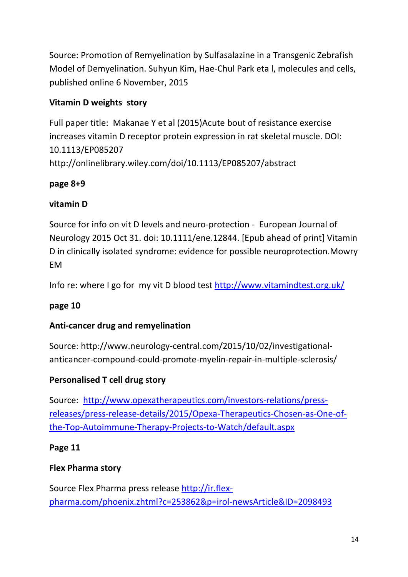Source: Promotion of Remyelination by Sulfasalazine in a Transgenic Zebrafish Model of Demyelination. Suhyun Kim, Hae-Chul Park eta l, molecules and cells, published online 6 November, 2015

### **Vitamin D weights story**

Full paper title: Makanae Y et al (2015)Acute bout of resistance exercise increases vitamin D receptor protein expression in rat skeletal muscle. DOI: 10.1113/EP085207 http://onlinelibrary.wiley.com/doi/10.1113/EP085207/abstract

### **page 8+9**

### **vitamin D**

Source for info on vit D levels and neuro-protection - European Journal of Neurology 2015 Oct 31. doi: 10.1111/ene.12844. [Epub ahead of print] Vitamin D in clinically isolated syndrome: evidence for possible neuroprotection.Mowry EM

Info re: where I go for my vit D blood test<http://www.vitamindtest.org.uk/>

### **page 10**

### **Anti-cancer drug and remyelination**

Source: http://www.neurology-central.com/2015/10/02/investigationalanticancer-compound-could-promote-myelin-repair-in-multiple-sclerosis/

### **Personalised T cell drug story**

Source: [http://www.opexatherapeutics.com/investors-relations/press](http://www.opexatherapeutics.com/investors-relations/press-releases/press-release-details/2015/Opexa-Therapeutics-Chosen-as-One-of-the-Top-Autoimmune-Therapy-Projects-to-Watch/default.aspx)[releases/press-release-details/2015/Opexa-Therapeutics-Chosen-as-One-of](http://www.opexatherapeutics.com/investors-relations/press-releases/press-release-details/2015/Opexa-Therapeutics-Chosen-as-One-of-the-Top-Autoimmune-Therapy-Projects-to-Watch/default.aspx)[the-Top-Autoimmune-Therapy-Projects-to-Watch/default.aspx](http://www.opexatherapeutics.com/investors-relations/press-releases/press-release-details/2015/Opexa-Therapeutics-Chosen-as-One-of-the-Top-Autoimmune-Therapy-Projects-to-Watch/default.aspx)

### **Page 11**

### **Flex Pharma story**

Source Flex Pharma press release [http://ir.flex](http://ir.flex-pharma.com/phoenix.zhtml?c=253862&p=irol-newsArticle&ID=2098493)[pharma.com/phoenix.zhtml?c=253862&p=irol-newsArticle&ID=2098493](http://ir.flex-pharma.com/phoenix.zhtml?c=253862&p=irol-newsArticle&ID=2098493)